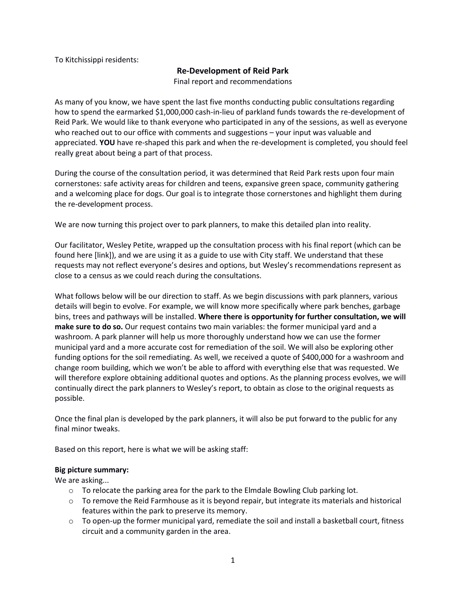To Kitchissippi residents:

# **Re-Development of Reid Park**

Final report and recommendations

As many of you know, we have spent the last five months conducting public consultations regarding how to spend the earmarked \$1,000,000 cash-in-lieu of parkland funds towards the re-development of Reid Park. We would like to thank everyone who participated in any of the sessions, as well as everyone who reached out to our office with comments and suggestions – your input was valuable and appreciated. **YOU** have re-shaped this park and when the re-development is completed, you should feel really great about being a part of that process.

During the course of the consultation period, it was determined that Reid Park rests upon four main cornerstones: safe activity areas for children and teens, expansive green space, community gathering and a welcoming place for dogs. Our goal is to integrate those cornerstones and highlight them during the re-development process.

We are now turning this project over to park planners, to make this detailed plan into reality.

Our facilitator, Wesley Petite, wrapped up the consultation process with his final report (which can be found here [link]), and we are using it as a guide to use with City staff. We understand that these requests may not reflect everyone's desires and options, but Wesley's recommendations represent as close to a census as we could reach during the consultations.

What follows below will be our direction to staff. As we begin discussions with park planners, various details will begin to evolve. For example, we will know more specifically where park benches, garbage bins, trees and pathways will be installed. **Where there is opportunity for further consultation, we will make sure to do so.** Our request contains two main variables: the former municipal yard and a washroom. A park planner will help us more thoroughly understand how we can use the former municipal yard and a more accurate cost for remediation of the soil. We will also be exploring other funding options for the soil remediating. As well, we received a quote of \$400,000 for a washroom and change room building, which we won't be able to afford with everything else that was requested. We will therefore explore obtaining additional quotes and options. As the planning process evolves, we will continually direct the park planners to Wesley's report, to obtain as close to the original requests as possible.

Once the final plan is developed by the park planners, it will also be put forward to the public for any final minor tweaks.

Based on this report, here is what we will be asking staff:

# **Big picture summary:**

We are asking...

- $\circ$  To relocate the parking area for the park to the Elmdale Bowling Club parking lot.
- $\circ$  To remove the Reid Farmhouse as it is beyond repair, but integrate its materials and historical features within the park to preserve its memory.
- $\circ$  To open-up the former municipal yard, remediate the soil and install a basketball court, fitness circuit and a community garden in the area.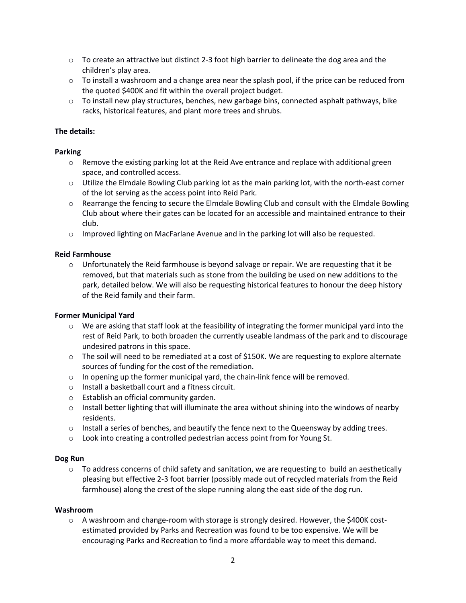- $\circ$  To create an attractive but distinct 2-3 foot high barrier to delineate the dog area and the children's play area.
- $\circ$  To install a washroom and a change area near the splash pool, if the price can be reduced from the quoted \$400K and fit within the overall project budget.
- $\circ$  To install new play structures, benches, new garbage bins, connected asphalt pathways, bike racks, historical features, and plant more trees and shrubs.

# **The details:**

# **Parking**

- $\circ$  Remove the existing parking lot at the Reid Ave entrance and replace with additional green space, and controlled access.
- o Utilize the Elmdale Bowling Club parking lot as the main parking lot, with the north-east corner of the lot serving as the access point into Reid Park.
- o Rearrange the fencing to secure the Elmdale Bowling Club and consult with the Elmdale Bowling Club about where their gates can be located for an accessible and maintained entrance to their club.
- o Improved lighting on MacFarlane Avenue and in the parking lot will also be requested.

#### **Reid Farmhouse**

 $\circ$  Unfortunately the Reid farmhouse is beyond salvage or repair. We are requesting that it be removed, but that materials such as stone from the building be used on new additions to the park, detailed below. We will also be requesting historical features to honour the deep history of the Reid family and their farm.

#### **Former Municipal Yard**

- $\circ$  We are asking that staff look at the feasibility of integrating the former municipal yard into the rest of Reid Park, to both broaden the currently useable landmass of the park and to discourage undesired patrons in this space.
- $\circ$  The soil will need to be remediated at a cost of \$150K. We are requesting to explore alternate sources of funding for the cost of the remediation.
- o In opening up the former municipal yard, the chain-link fence will be removed.
- o Install a basketball court and a fitness circuit.
- o Establish an official community garden.
- $\circ$  Install better lighting that will illuminate the area without shining into the windows of nearby residents.
- $\circ$  Install a series of benches, and beautify the fence next to the Queensway by adding trees.
- o Look into creating a controlled pedestrian access point from for Young St.

# **Dog Run**

 $\circ$  To address concerns of child safety and sanitation, we are requesting to build an aesthetically pleasing but effective 2-3 foot barrier (possibly made out of recycled materials from the Reid farmhouse) along the crest of the slope running along the east side of the dog run.

#### **Washroom**

 $\circ$  A washroom and change-room with storage is strongly desired. However, the \$400K costestimated provided by Parks and Recreation was found to be too expensive. We will be encouraging Parks and Recreation to find a more affordable way to meet this demand.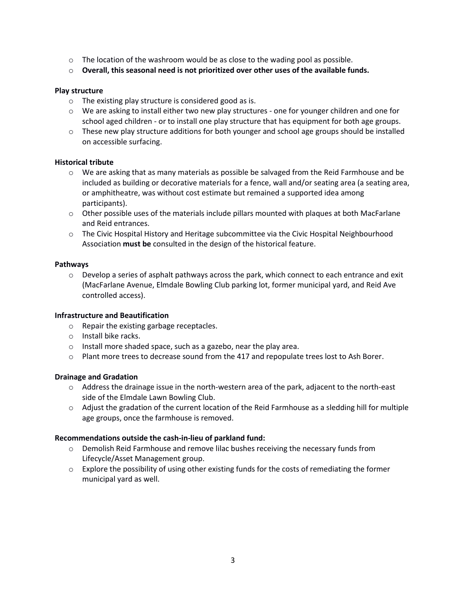- $\circ$  The location of the washroom would be as close to the wading pool as possible.
- o **Overall, this seasonal need is not prioritized over other uses of the available funds.**

# **Play structure**

- o The existing play structure is considered good as is.
- o We are asking to install either two new play structures one for younger children and one for school aged children - or to install one play structure that has equipment for both age groups.
- $\circ$  These new play structure additions for both younger and school age groups should be installed on accessible surfacing.

# **Historical tribute**

- $\circ$  We are asking that as many materials as possible be salvaged from the Reid Farmhouse and be included as building or decorative materials for a fence, wall and/or seating area (a seating area, or amphitheatre, was without cost estimate but remained a supported idea among participants).
- $\circ$  Other possible uses of the materials include pillars mounted with plaques at both MacFarlane and Reid entrances.
- o The Civic Hospital History and Heritage subcommittee via the Civic Hospital Neighbourhood Association **must be** consulted in the design of the historical feature.

#### **Pathways**

 $\circ$  Develop a series of asphalt pathways across the park, which connect to each entrance and exit (MacFarlane Avenue, Elmdale Bowling Club parking lot, former municipal yard, and Reid Ave controlled access).

# **Infrastructure and Beautification**

- o Repair the existing garbage receptacles.
- o Install bike racks.
- o Install more shaded space, such as a gazebo, near the play area.
- $\circ$  Plant more trees to decrease sound from the 417 and repopulate trees lost to Ash Borer.

# **Drainage and Gradation**

- $\circ$  Address the drainage issue in the north-western area of the park, adjacent to the north-east side of the Elmdale Lawn Bowling Club.
- $\circ$  Adjust the gradation of the current location of the Reid Farmhouse as a sledding hill for multiple age groups, once the farmhouse is removed.

# **Recommendations outside the cash-in-lieu of parkland fund:**

- o Demolish Reid Farmhouse and remove lilac bushes receiving the necessary funds from Lifecycle/Asset Management group.
- $\circ$  Explore the possibility of using other existing funds for the costs of remediating the former municipal yard as well.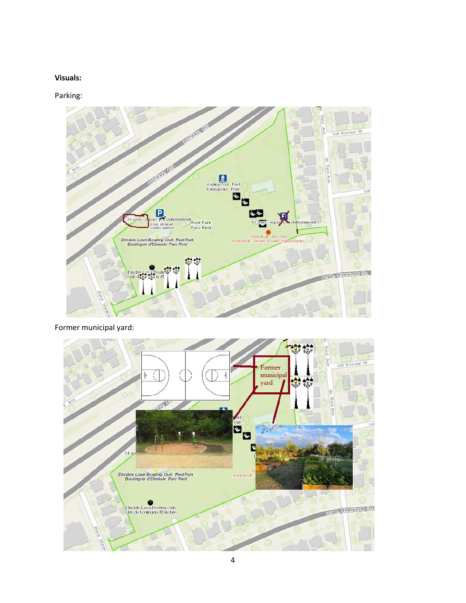# **Visuals:**

Parking:



Former municipal yard: